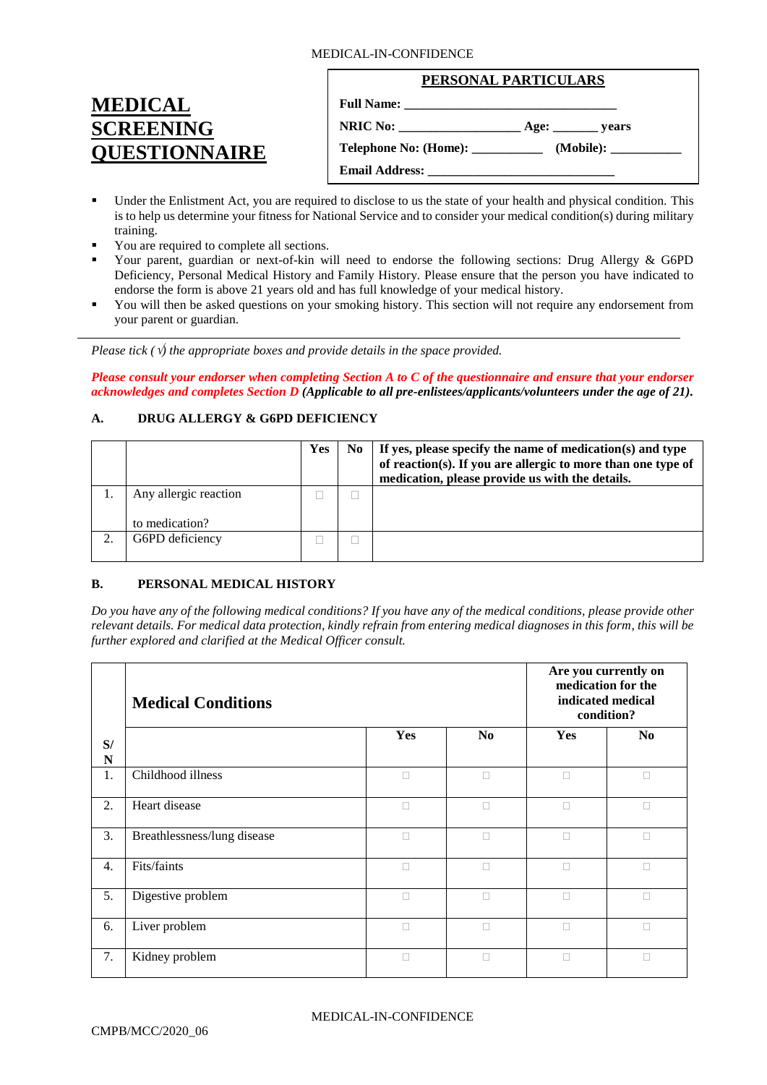#### MEDICAL-IN-CONFIDENCE

| <b>MEDICAL</b>       |
|----------------------|
| <b>SCREENING</b>     |
| <b>OUESTIONNAIRE</b> |

| PERSONAL PARTICULARS                      |  |  |  |
|-------------------------------------------|--|--|--|
|                                           |  |  |  |
|                                           |  |  |  |
| <b>Telephone No: (Home): ____________</b> |  |  |  |
|                                           |  |  |  |

- Under the Enlistment Act, you are required to disclose to us the state of your health and physical condition. This is to help us determine your fitness for National Service and to consider your medical condition(s) during military training.
- You are required to complete all sections.
- Your parent, guardian or next-of-kin will need to endorse the following sections: Drug Allergy & G6PD Deficiency, Personal Medical History and Family History. Please ensure that the person you have indicated to endorse the form is above 21 years old and has full knowledge of your medical history.
- You will then be asked questions on your smoking history. This section will not require any endorsement from your parent or guardian.

*Please tick (* $\sqrt{ }$ *) the appropriate boxes and provide details in the space provided.* 

*Please consult your endorser when completing Section A to C of the questionnaire and ensure that your endorser acknowledges and completes Section D (Applicable to all pre-enlistees/applicants/volunteers under the age of 21).*

## **A. DRUG ALLERGY & G6PD DEFICIENCY**

|                                         | Yes | No. | If yes, please specify the name of medication(s) and type<br>of reaction(s). If you are allergic to more than one type of<br>medication, please provide us with the details. |
|-----------------------------------------|-----|-----|------------------------------------------------------------------------------------------------------------------------------------------------------------------------------|
| Any allergic reaction<br>to medication? |     |     |                                                                                                                                                                              |
| G6PD deficiency                         |     |     |                                                                                                                                                                              |

## **B. PERSONAL MEDICAL HISTORY**

*Do you have any of the following medical conditions? If you have any of the medical conditions, please provide other relevant details. For medical data protection, kindly refrain from entering medical diagnoses in this form, this will be further explored and clarified at the Medical Officer consult.* 

|                  | <b>Medical Conditions</b>   | Are you currently on<br>medication for the<br>indicated medical<br>condition? |                |            |                |
|------------------|-----------------------------|-------------------------------------------------------------------------------|----------------|------------|----------------|
| S/<br>N          |                             | <b>Yes</b>                                                                    | N <sub>0</sub> | <b>Yes</b> | N <sub>0</sub> |
| 1.               | Childhood illness           | $\Box$                                                                        | $\Box$         | $\Box$     | $\Box$         |
| 2.               | Heart disease               | $\Box$                                                                        | $\Box$         | П          | $\Box$         |
| 3.               | Breathlessness/lung disease | П                                                                             | $\Box$         | П          | П              |
| $\overline{4}$ . | Fits/faints                 | П                                                                             | П              | П          | П              |
| 5.               | Digestive problem           | П                                                                             | П              | П          | П              |
| 6.               | Liver problem               | П                                                                             | П              | П          | П              |
| 7.               | Kidney problem              | П                                                                             | П              | П          | П              |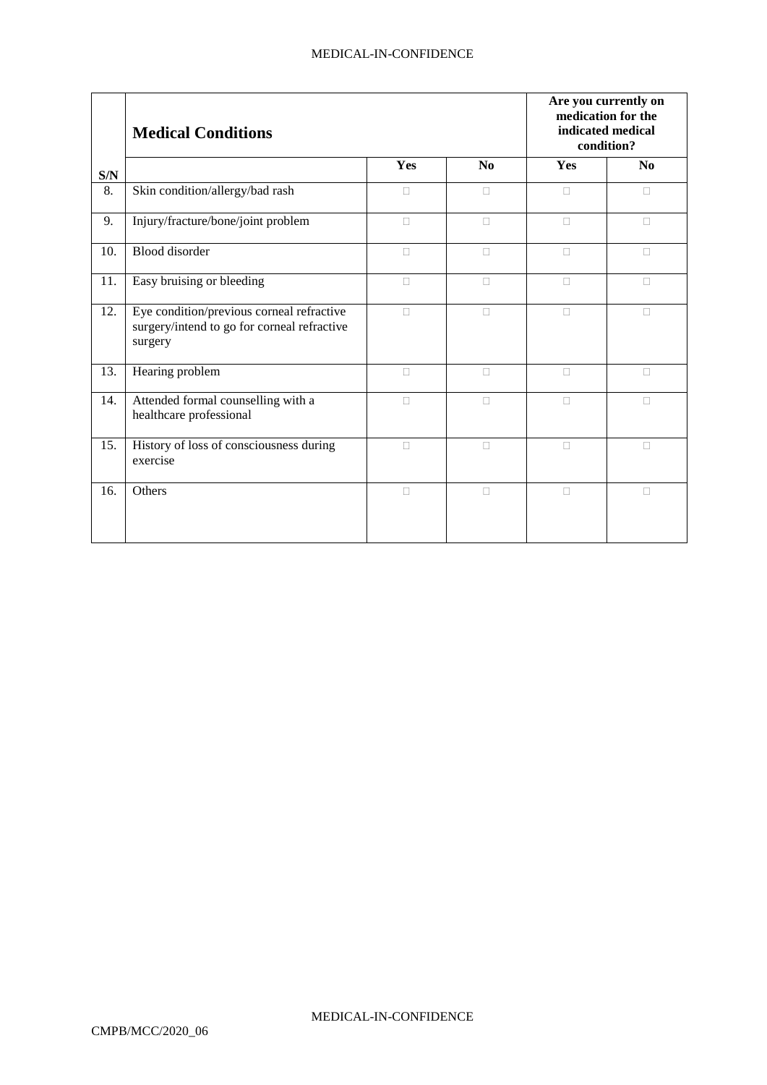|                         | <b>Medical Conditions</b>                                                                           | Are you currently on<br>medication for the<br>indicated medical<br>condition? |                |        |                |
|-------------------------|-----------------------------------------------------------------------------------------------------|-------------------------------------------------------------------------------|----------------|--------|----------------|
| $\mathbf{S}/\mathbf{N}$ |                                                                                                     | Yes                                                                           | N <sub>0</sub> | Yes    | N <sub>0</sub> |
| 8.                      | Skin condition/allergy/bad rash                                                                     | П                                                                             | П              | П      | П              |
| 9.                      | Injury/fracture/bone/joint problem                                                                  | $\Box$                                                                        | $\Box$         | $\Box$ | $\Box$         |
| 10.                     | <b>Blood</b> disorder                                                                               | $\Box$                                                                        | $\Box$         | $\Box$ | $\Box$         |
| 11.                     | Easy bruising or bleeding                                                                           | $\Box$                                                                        | $\Box$         | $\Box$ | $\Box$         |
| 12.                     | Eye condition/previous corneal refractive<br>surgery/intend to go for corneal refractive<br>surgery | $\Box$                                                                        | $\Box$         | $\Box$ | П              |
| 13.                     | Hearing problem                                                                                     | П                                                                             | П              | П      | П              |
| 14.                     | Attended formal counselling with a<br>healthcare professional                                       | $\Box$                                                                        | $\Box$         | $\Box$ | $\Box$         |
| 15.                     | History of loss of consciousness during<br>exercise                                                 | $\Box$                                                                        | $\Box$         | $\Box$ | $\Box$         |
| 16.                     | Others                                                                                              | $\Box$                                                                        | $\Box$         | $\Box$ | $\Box$         |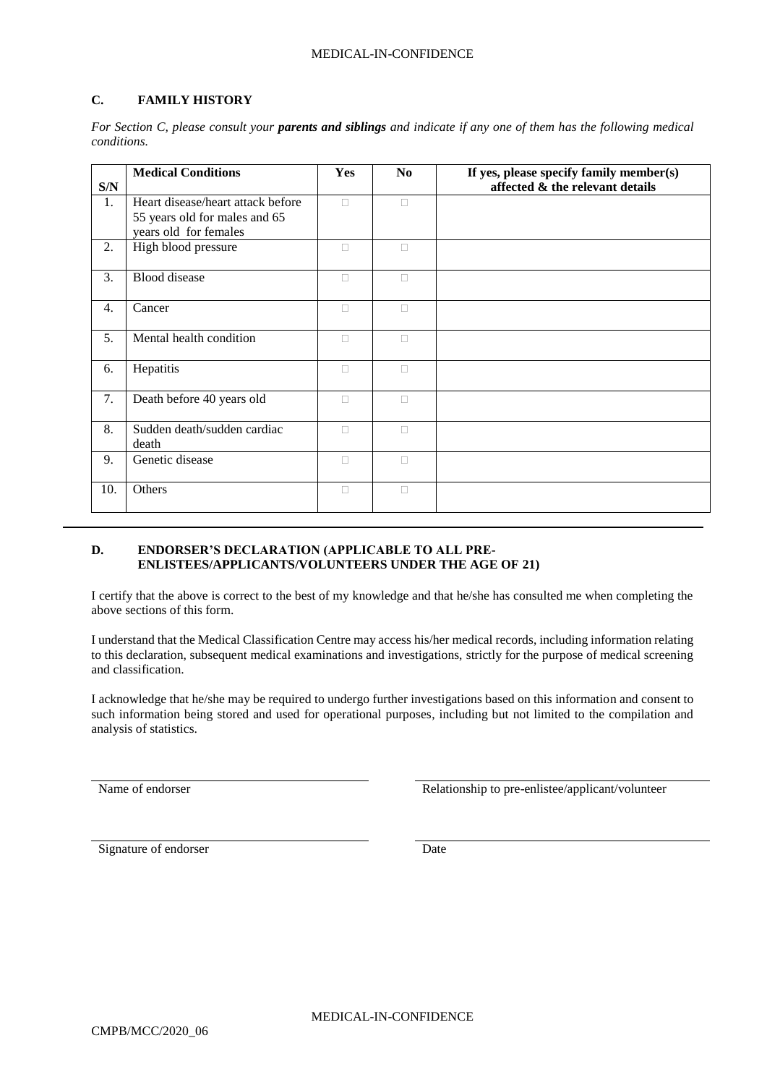#### MEDICAL-IN-CONFIDENCE

# **C. FAMILY HISTORY**

| S/N | <b>Medical Conditions</b>                                                                   | <b>Yes</b> | N <sub>0</sub> | If yes, please specify family member(s)<br>affected & the relevant details |
|-----|---------------------------------------------------------------------------------------------|------------|----------------|----------------------------------------------------------------------------|
| 1.  | Heart disease/heart attack before<br>55 years old for males and 65<br>years old for females | $\Box$     | $\Box$         |                                                                            |
| 2.  | High blood pressure                                                                         | П          | п              |                                                                            |
| 3.  | <b>Blood</b> disease                                                                        | П          | O              |                                                                            |
| 4.  | Cancer                                                                                      | $\Box$     | $\Box$         |                                                                            |
| 5.  | Mental health condition                                                                     | $\Box$     | $\Box$         |                                                                            |
| 6.  | Hepatitis                                                                                   | П          | П              |                                                                            |
| 7.  | Death before 40 years old                                                                   | $\Box$     | П              |                                                                            |
| 8.  | Sudden death/sudden cardiac<br>death                                                        | $\Box$     | П              |                                                                            |
| 9.  | Genetic disease                                                                             | П          | П              |                                                                            |
| 10. | Others                                                                                      | П          | $\Box$         |                                                                            |

*For Section C, please consult your parents and siblings and indicate if any one of them has the following medical conditions.*

### **D. ENDORSER'S DECLARATION (APPLICABLE TO ALL PRE-ENLISTEES/APPLICANTS/VOLUNTEERS UNDER THE AGE OF 21)**

I certify that the above is correct to the best of my knowledge and that he/she has consulted me when completing the above sections of this form.

I understand that the Medical Classification Centre may access his/her medical records, including information relating to this declaration, subsequent medical examinations and investigations, strictly for the purpose of medical screening and classification.

I acknowledge that he/she may be required to undergo further investigations based on this information and consent to such information being stored and used for operational purposes, including but not limited to the compilation and analysis of statistics.

Name of endorser and the Relationship to pre-enlistee/applicant/volunteer

Signature of endorser Date